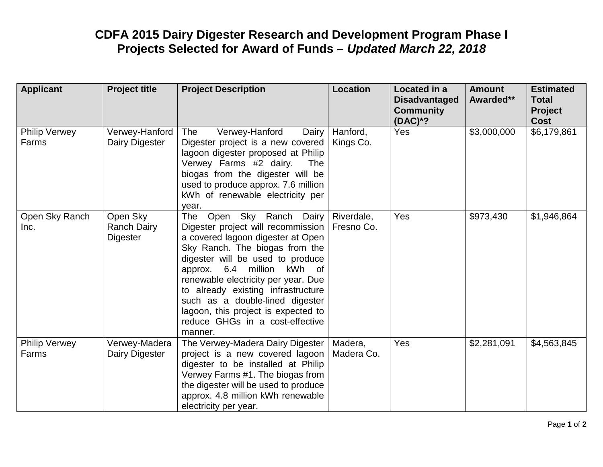## **CDFA 2015 Dairy Digester Research and Development Program Phase I Projects Selected for Award of Funds –** *Updated March 22, 2018*

| <b>Applicant</b>              | <b>Project title</b>                              | <b>Project Description</b>                                                                                                                                                                                                                                                                                                                                                                                                | <b>Location</b>          | Located in a<br><b>Disadvantaged</b><br><b>Community</b><br>$(DAC)*?$ | <b>Amount</b><br>Awarded** | <b>Estimated</b><br><b>Total</b><br><b>Project</b><br><b>Cost</b> |
|-------------------------------|---------------------------------------------------|---------------------------------------------------------------------------------------------------------------------------------------------------------------------------------------------------------------------------------------------------------------------------------------------------------------------------------------------------------------------------------------------------------------------------|--------------------------|-----------------------------------------------------------------------|----------------------------|-------------------------------------------------------------------|
| <b>Philip Verwey</b><br>Farms | Verwey-Hanford<br>Dairy Digester                  | Verwey-Hanford<br>The<br>Dairy<br>Digester project is a new covered<br>lagoon digester proposed at Philip<br>Verwey Farms #2 dairy.<br>The<br>biogas from the digester will be<br>used to produce approx. 7.6 million<br>kWh of renewable electricity per<br>year.                                                                                                                                                        | Hanford,<br>Kings Co.    | Yes                                                                   | \$3,000,000                | \$6,179,861                                                       |
| Open Sky Ranch<br>Inc.        | Open Sky<br><b>Ranch Dairy</b><br><b>Digester</b> | Open Sky Ranch Dairy<br><b>The</b><br>Digester project will recommission<br>a covered lagoon digester at Open<br>Sky Ranch. The biogas from the<br>digester will be used to produce<br>approx. 6.4 million<br>kWh of<br>renewable electricity per year. Due<br>to already existing infrastructure<br>such as a double-lined digester<br>lagoon, this project is expected to<br>reduce GHGs in a cost-effective<br>manner. | Riverdale,<br>Fresno Co. | Yes                                                                   | \$973,430                  | \$1,946,864                                                       |
| <b>Philip Verwey</b><br>Farms | Verwey-Madera<br>Dairy Digester                   | The Verwey-Madera Dairy Digester  <br>project is a new covered lagoon<br>digester to be installed at Philip<br>Verwey Farms #1. The biogas from<br>the digester will be used to produce<br>approx. 4.8 million kWh renewable<br>electricity per year.                                                                                                                                                                     | Madera,<br>Madera Co.    | Yes                                                                   | \$2,281,091                | \$4,563,845                                                       |